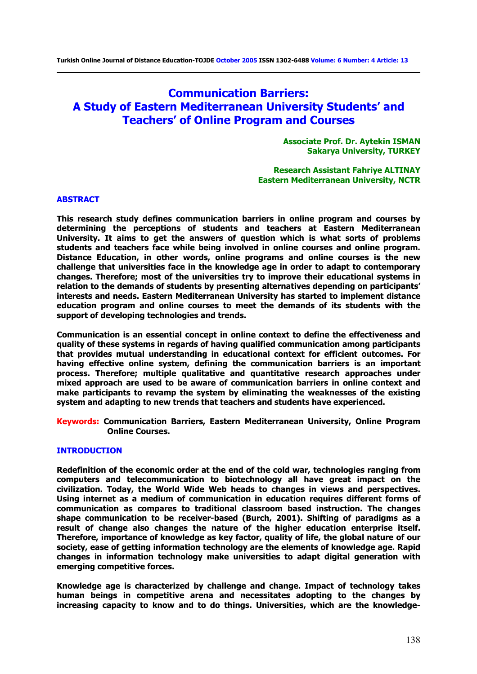# **Communication Barriers: A Study of Eastern Mediterranean University Students' and Teachers' of Online Program and Courses**

**Associate Prof. Dr. Aytekin ISMAN Sakarya University, TURKEY** 

**Research Assistant Fahriye ALTINAY Eastern Mediterranean University, NCTR** 

#### **ABSTRACT**

**This research study defines communication barriers in online program and courses by determining the perceptions of students and teachers at Eastern Mediterranean University. It aims to get the answers of question which is what sorts of problems students and teachers face while being involved in online courses and online program. Distance Education, in other words, online programs and online courses is the new challenge that universities face in the knowledge age in order to adapt to contemporary changes. Therefore; most of the universities try to improve their educational systems in relation to the demands of students by presenting alternatives depending on participants' interests and needs. Eastern Mediterranean University has started to implement distance education program and online courses to meet the demands of its students with the support of developing technologies and trends.** 

**Communication is an essential concept in online context to define the effectiveness and quality of these systems in regards of having qualified communication among participants that provides mutual understanding in educational context for efficient outcomes. For having effective online system, defining the communication barriers is an important process. Therefore; multiple qualitative and quantitative research approaches under mixed approach are used to be aware of communication barriers in online context and make participants to revamp the system by eliminating the weaknesses of the existing system and adapting to new trends that teachers and students have experienced.** 

**Keywords: Communication Barriers, Eastern Mediterranean University, Online Program Online Courses.** 

### **INTRODUCTION**

**Redefinition of the economic order at the end of the cold war, technologies ranging from computers and telecommunication to biotechnology all have great impact on the civilization. Today, the World Wide Web heads to changes in views and perspectives. Using internet as a medium of communication in education requires different forms of communication as compares to traditional classroom based instruction. The changes shape communication to be receiver-based (Burch, 2001). Shifting of paradigms as a result of change also changes the nature of the higher education enterprise itself. Therefore, importance of knowledge as key factor, quality of life, the global nature of our society, ease of getting information technology are the elements of knowledge age. Rapid changes in information technology make universities to adapt digital generation with emerging competitive forces.** 

**Knowledge age is characterized by challenge and change. Impact of technology takes human beings in competitive arena and necessitates adopting to the changes by increasing capacity to know and to do things. Universities, which are the knowledge-**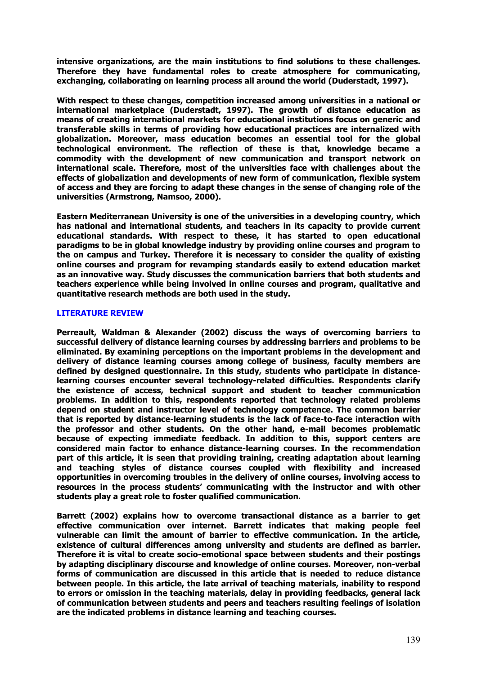**intensive organizations, are the main institutions to find solutions to these challenges. Therefore they have fundamental roles to create atmosphere for communicating, exchanging, collaborating on learning process all around the world (Duderstadt, 1997).** 

**With respect to these changes, competition increased among universities in a national or international marketplace (Duderstadt, 1997). The growth of distance education as means of creating international markets for educational institutions focus on generic and transferable skills in terms of providing how educational practices are internalized with globalization. Moreover, mass education becomes an essential tool for the global technological environment. The reflection of these is that, knowledge became a commodity with the development of new communication and transport network on international scale. Therefore, most of the universities face with challenges about the effects of globalization and developments of new form of communication, flexible system of access and they are forcing to adapt these changes in the sense of changing role of the universities (Armstrong, Namsoo, 2000).** 

**Eastern Mediterranean University is one of the universities in a developing country, which has national and international students, and teachers in its capacity to provide current educational standards. With respect to these, it has started to open educational paradigms to be in global knowledge industry by providing online courses and program to the on campus and Turkey. Therefore it is necessary to consider the quality of existing online courses and program for revamping standards easily to extend education market as an innovative way. Study discusses the communication barriers that both students and teachers experience while being involved in online courses and program, qualitative and quantitative research methods are both used in the study.** 

## **LITERATURE REVIEW**

**Perreault, Waldman & Alexander (2002) discuss the ways of overcoming barriers to successful delivery of distance learning courses by addressing barriers and problems to be eliminated. By examining perceptions on the important problems in the development and delivery of distance learning courses among college of business, faculty members are defined by designed questionnaire. In this study, students who participate in distancelearning courses encounter several technology-related difficulties. Respondents clarify the existence of access, technical support and student to teacher communication problems. In addition to this, respondents reported that technology related problems depend on student and instructor level of technology competence. The common barrier that is reported by distance-learning students is the lack of face-to-face interaction with the professor and other students. On the other hand, e-mail becomes problematic because of expecting immediate feedback. In addition to this, support centers are considered main factor to enhance distance-learning courses. In the recommendation part of this article, it is seen that providing training, creating adaptation about learning and teaching styles of distance courses coupled with flexibility and increased opportunities in overcoming troubles in the delivery of online courses, involving access to resources in the process students' communicating with the instructor and with other students play a great role to foster qualified communication.** 

**Barrett (2002) explains how to overcome transactional distance as a barrier to get effective communication over internet. Barrett indicates that making people feel vulnerable can limit the amount of barrier to effective communication. In the article, existence of cultural differences among university and students are defined as barrier. Therefore it is vital to create socio-emotional space between students and their postings by adapting disciplinary discourse and knowledge of online courses. Moreover, non-verbal forms of communication are discussed in this article that is needed to reduce distance between people. In this article, the late arrival of teaching materials, inability to respond to errors or omission in the teaching materials, delay in providing feedbacks, general lack of communication between students and peers and teachers resulting feelings of isolation are the indicated problems in distance learning and teaching courses.**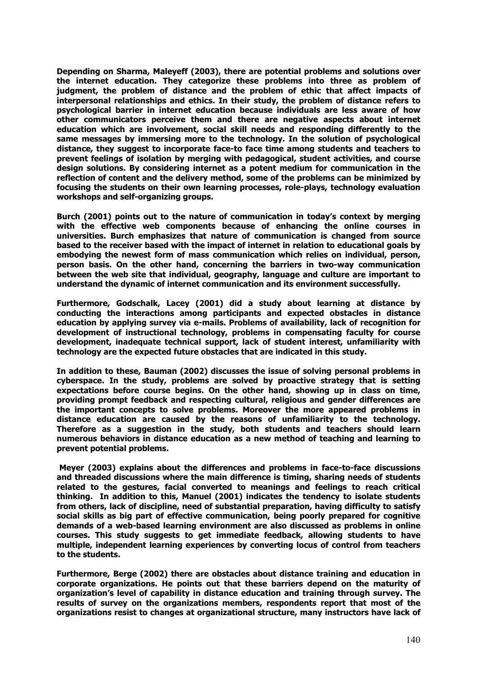**Depending on Sharma, Maleyeff (2003), there are potential problems and solutions over the internet education. They categorize these problems into three as problem of judgment, the problem of distance and the problem of ethic that affect impacts of interpersonal relationships and ethics. In their study, the problem of distance refers to psychological barrier in internet education because individuals are less aware of how other communicators perceive them and there are negative aspects about internet education which are involvement, social skill needs and responding differently to the same messages by immersing more to the technology. In the solution of psychological distance, they suggest to incorporate face-to face time among students and teachers to prevent feelings of isolation by merging with pedagogical, student activities, and course design solutions. By considering internet as a potent medium for communication in the reflection of content and the delivery method, some of the problems can be minimized by focusing the students on their own learning processes, role-plays, technology evaluation workshops and self-organizing groups.** 

**Burch (2001) points out to the nature of communication in today's context by merging with the effective web components because of enhancing the online courses in universities. Burch emphasizes that nature of communication is changed from source based to the receiver based with the impact of internet in relation to educational goals by embodying the newest form of mass communication which relies on individual, person, person basis. On the other hand, concerning the barriers in two-way communication between the web site that individual, geography, language and culture are important to understand the dynamic of internet communication and its environment successfully.** 

**Furthermore, Godschalk, Lacey (2001) did a study about learning at distance by conducting the interactions among participants and expected obstacles in distance education by applying survey via e-mails. Problems of availability, lack of recognition for development of instructional technology, problems in compensating faculty for course development, inadequate technical support, lack of student interest, unfamiliarity with technology are the expected future obstacles that are indicated in this study.** 

**In addition to these, Bauman (2002) discusses the issue of solving personal problems in cyberspace. In the study, problems are solved by proactive strategy that is setting expectations before course begins. On the other hand, showing up in class on time, providing prompt feedback and respecting cultural, religious and gender differences are the important concepts to solve problems. Moreover the more appeared problems in distance education are caused by the reasons of unfamiliarity to the technology. Therefore as a suggestion in the study, both students and teachers should learn numerous behaviors in distance education as a new method of teaching and learning to prevent potential problems.** 

**Meyer (2003) explains about the differences and problems in face-to-face discussions and threaded discussions where the main difference is timing, sharing needs of students related to the gestures, facial converted to meanings and feelings to reach critical thinking. In addition to this, Manuel (2001) indicates the tendency to isolate students from others, lack of discipline, need of substantial preparation, having difficulty to satisfy social skills as big part of effective communication, being poorly prepared for cognitive demands of a web-based learning environment are also discussed as problems in online courses. This study suggests to get immediate feedback, allowing students to have multiple, independent learning experiences by converting locus of control from teachers to the students.** 

**Furthermore, Berge (2002) there are obstacles about distance training and education in corporate organizations. He points out that these barriers depend on the maturity of organization's level of capability in distance education and training through survey. The results of survey on the organizations members, respondents report that most of the organizations resist to changes at organizational structure, many instructors have lack of**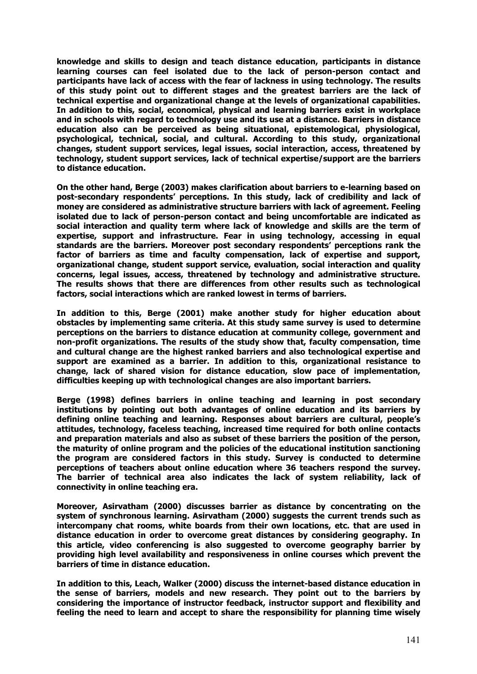**knowledge and skills to design and teach distance education, participants in distance learning courses can feel isolated due to the lack of person-person contact and participants have lack of access with the fear of lackness in using technology. The results of this study point out to different stages and the greatest barriers are the lack of technical expertise and organizational change at the levels of organizational capabilities. In addition to this, social, economical, physical and learning barriers exist in workplace and in schools with regard to technology use and its use at a distance. Barriers in distance education also can be perceived as being situational, epistemological, physiological, psychological, technical, social, and cultural. According to this study, organizational changes, student support services, legal issues, social interaction, access, threatened by technology, student support services, lack of technical expertise/support are the barriers to distance education.** 

**On the other hand, Berge (2003) makes clarification about barriers to e-learning based on post-secondary respondents' perceptions. In this study, lack of credibility and lack of money are considered as administrative structure barriers with lack of agreement. Feeling isolated due to lack of person-person contact and being uncomfortable are indicated as social interaction and quality term where lack of knowledge and skills are the term of expertise, support and infrastructure. Fear in using technology, accessing in equal standards are the barriers. Moreover post secondary respondents' perceptions rank the factor of barriers as time and faculty compensation, lack of expertise and support, organizational change, student support service, evaluation, social interaction and quality concerns, legal issues, access, threatened by technology and administrative structure. The results shows that there are differences from other results such as technological factors, social interactions which are ranked lowest in terms of barriers.** 

**In addition to this, Berge (2001) make another study for higher education about obstacles by implementing same criteria. At this study same survey is used to determine perceptions on the barriers to distance education at community college, government and non-profit organizations. The results of the study show that, faculty compensation, time and cultural change are the highest ranked barriers and also technological expertise and support are examined as a barrier. In addition to this, organizational resistance to change, lack of shared vision for distance education, slow pace of implementation, difficulties keeping up with technological changes are also important barriers.** 

**Berge (1998) defines barriers in online teaching and learning in post secondary institutions by pointing out both advantages of online education and its barriers by defining online teaching and learning. Responses about barriers are cultural, people's attitudes, technology, faceless teaching, increased time required for both online contacts and preparation materials and also as subset of these barriers the position of the person, the maturity of online program and the policies of the educational institution sanctioning the program are considered factors in this study. Survey is conducted to determine perceptions of teachers about online education where 36 teachers respond the survey. The barrier of technical area also indicates the lack of system reliability, lack of connectivity in online teaching era.** 

**Moreover, Asirvatham (2000) discusses barrier as distance by concentrating on the system of synchronous learning. Asirvatham (2000) suggests the current trends such as intercompany chat rooms, white boards from their own locations, etc. that are used in distance education in order to overcome great distances by considering geography. In this article, video conferencing is also suggested to overcome geography barrier by providing high level availability and responsiveness in online courses which prevent the barriers of time in distance education.** 

**In addition to this, Leach, Walker (2000) discuss the internet-based distance education in the sense of barriers, models and new research. They point out to the barriers by considering the importance of instructor feedback, instructor support and flexibility and feeling the need to learn and accept to share the responsibility for planning time wisely**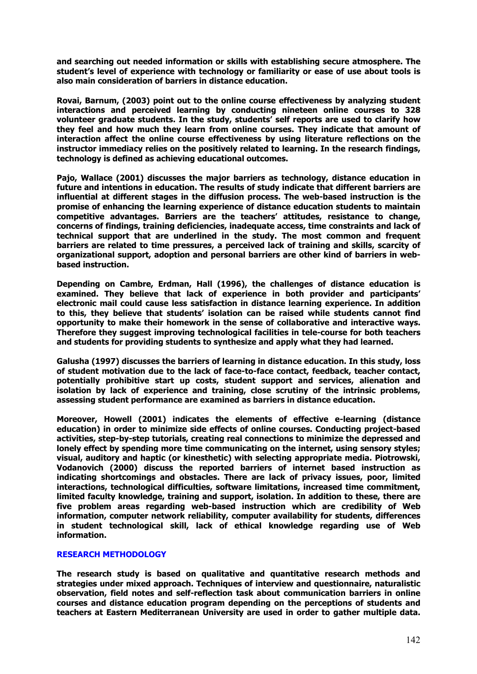**and searching out needed information or skills with establishing secure atmosphere. The student's level of experience with technology or familiarity or ease of use about tools is also main consideration of barriers in distance education.** 

**Rovai, Barnum, (2003) point out to the online course effectiveness by analyzing student interactions and perceived learning by conducting nineteen online courses to 328 volunteer graduate students. In the study, students' self reports are used to clarify how they feel and how much they learn from online courses. They indicate that amount of interaction affect the online course effectiveness by using literature reflections on the instructor immediacy relies on the positively related to learning. In the research findings, technology is defined as achieving educational outcomes.** 

**Pajo, Wallace (2001) discusses the major barriers as technology, distance education in future and intentions in education. The results of study indicate that different barriers are influential at different stages in the diffusion process. The web-based instruction is the promise of enhancing the learning experience of distance education students to maintain competitive advantages. Barriers are the teachers' attitudes, resistance to change, concerns of findings, training deficiencies, inadequate access, time constraints and lack of technical support that are underlined in the study. The most common and frequent barriers are related to time pressures, a perceived lack of training and skills, scarcity of organizational support, adoption and personal barriers are other kind of barriers in webbased instruction.** 

**Depending on Cambre, Erdman, Hall (1996), the challenges of distance education is examined. They believe that lack of experience in both provider and participants' electronic mail could cause less satisfaction in distance learning experience. In addition to this, they believe that students' isolation can be raised while students cannot find opportunity to make their homework in the sense of collaborative and interactive ways. Therefore they suggest improving technological facilities in tele-course for both teachers and students for providing students to synthesize and apply what they had learned.** 

**Galusha (1997) discusses the barriers of learning in distance education. In this study, loss of student motivation due to the lack of face-to-face contact, feedback, teacher contact, potentially prohibitive start up costs, student support and services, alienation and isolation by lack of experience and training, close scrutiny of the intrinsic problems, assessing student performance are examined as barriers in distance education.** 

**Moreover, Howell (2001) indicates the elements of effective e-learning (distance education) in order to minimize side effects of online courses. Conducting project-based activities, step-by-step tutorials, creating real connections to minimize the depressed and lonely effect by spending more time communicating on the internet, using sensory styles; visual, auditory and haptic (or kinesthetic) with selecting appropriate media. Piotrowski, Vodanovich (2000) discuss the reported barriers of internet based instruction as indicating shortcomings and obstacles. There are lack of privacy issues, poor, limited interactions, technological difficulties, software limitations, increased time commitment, limited faculty knowledge, training and support, isolation. In addition to these, there are five problem areas regarding web-based instruction which are credibility of Web information, computer network reliability, computer availability for students, differences in student technological skill, lack of ethical knowledge regarding use of Web information.** 

## **RESEARCH METHODOLOGY**

**The research study is based on qualitative and quantitative research methods and strategies under mixed approach. Techniques of interview and questionnaire, naturalistic observation, field notes and self-reflection task about communication barriers in online courses and distance education program depending on the perceptions of students and teachers at Eastern Mediterranean University are used in order to gather multiple data.**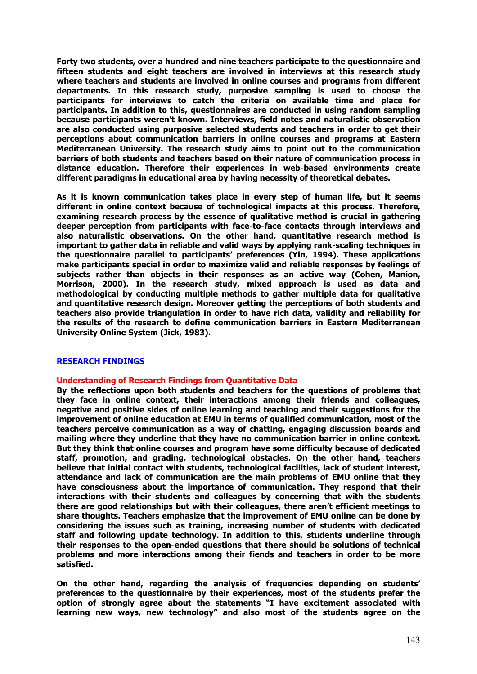**Forty two students, over a hundred and nine teachers participate to the questionnaire and fifteen students and eight teachers are involved in interviews at this research study where teachers and students are involved in online courses and programs from different departments. In this research study, purposive sampling is used to choose the participants for interviews to catch the criteria on available time and place for participants. In addition to this, questionnaires are conducted in using random sampling because participants weren't known. Interviews, field notes and naturalistic observation are also conducted using purposive selected students and teachers in order to get their perceptions about communication barriers in online courses and programs at Eastern Mediterranean University. The research study aims to point out to the communication barriers of both students and teachers based on their nature of communication process in distance education. Therefore their experiences in web-based environments create different paradigms in educational area by having necessity of theoretical debates.** 

**As it is known communication takes place in every step of human life, but it seems different in online context because of technological impacts at this process. Therefore, examining research process by the essence of qualitative method is crucial in gathering deeper perception from participants with face-to-face contacts through interviews and also naturalistic observations. On the other hand, quantitative research method is important to gather data in reliable and valid ways by applying rank-scaling techniques in the questionnaire parallel to participants' preferences (Yin, 1994). These applications make participants special in order to maximize valid and reliable responses by feelings of subjects rather than objects in their responses as an active way (Cohen, Manion, Morrison, 2000). In the research study, mixed approach is used as data and methodological by conducting multiple methods to gather multiple data for qualitative and quantitative research design. Moreover getting the perceptions of both students and teachers also provide triangulation in order to have rich data, validity and reliability for the results of the research to define communication barriers in Eastern Mediterranean University Online System (Jick, 1983).** 

## **RESEARCH FINDINGS**

#### **Understanding of Research Findings from Quantitative Data**

**By the reflections upon both students and teachers for the questions of problems that they face in online context, their interactions among their friends and colleagues, negative and positive sides of online learning and teaching and their suggestions for the improvement of online education at EMU in terms of qualified communication, most of the teachers perceive communication as a way of chatting, engaging discussion boards and mailing where they underline that they have no communication barrier in online context. But they think that online courses and program have some difficulty because of dedicated staff, promotion, and grading, technological obstacles. On the other hand, teachers believe that initial contact with students, technological facilities, lack of student interest, attendance and lack of communication are the main problems of EMU online that they have consciousness about the importance of communication. They respond that their interactions with their students and colleagues by concerning that with the students there are good relationships but with their colleagues, there aren't efficient meetings to share thoughts. Teachers emphasize that the improvement of EMU online can be done by considering the issues such as training, increasing number of students with dedicated staff and following update technology. In addition to this, students underline through their responses to the open-ended questions that there should be solutions of technical problems and more interactions among their fiends and teachers in order to be more satisfied.** 

**On the other hand, regarding the analysis of frequencies depending on students' preferences to the questionnaire by their experiences, most of the students prefer the option of strongly agree about the statements "I have excitement associated with learning new ways, new technology" and also most of the students agree on the**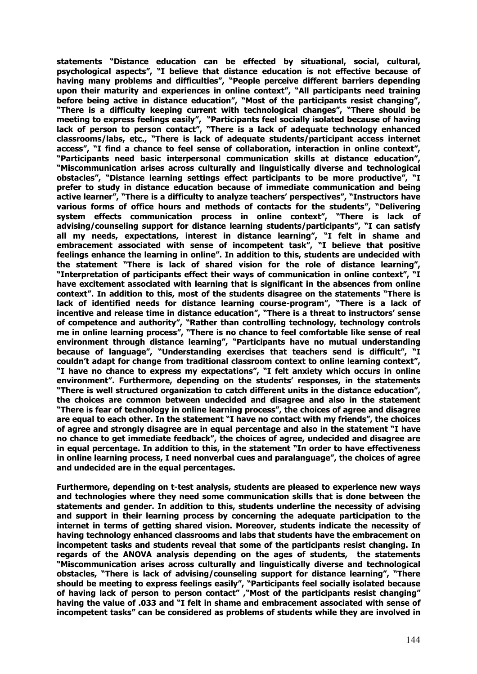**statements "Distance education can be effected by situational, social, cultural, psychological aspects", "I believe that distance education is not effective because of having many problems and difficulties", "People perceive different barriers depending upon their maturity and experiences in online context", "All participants need training before being active in distance education", "Most of the participants resist changing", "There is a difficulty keeping current with technological changes", "There should be meeting to express feelings easily", "Participants feel socially isolated because of having lack of person to person contact", "There is a lack of adequate technology enhanced classrooms/labs, etc., "There is lack of adequate students/participant access internet access", "I find a chance to feel sense of collaboration, interaction in online context", "Participants need basic interpersonal communication skills at distance education", "Miscommunication arises across culturally and linguistically diverse and technological obstacles", "Distance learning settings effect participants to be more productive", "I prefer to study in distance education because of immediate communication and being active learner", "There is a difficulty to analyze teachers' perspectives", "Instructors have various forms of office hours and methods of contacts for the students", "Delivering system effects communication process in online context", "There is lack of advising/counseling support for distance learning students/participants", "I can satisfy all my needs, expectations, interest in distance learning", "I felt in shame and embracement associated with sense of incompetent task", "I believe that positive feelings enhance the learning in online". In addition to this, students are undecided with the statement "There is lack of shared vision for the role of distance learning", "Interpretation of participants effect their ways of communication in online context", "I have excitement associated with learning that is significant in the absences from online context". In addition to this, most of the students disagree on the statements "There is lack of identified needs for distance learning course-program", "There is a lack of incentive and release time in distance education", "There is a threat to instructors' sense of competence and authority", "Rather than controlling technology, technology controls me in online learning process", "There is no chance to feel comfortable like sense of real environment through distance learning", "Participants have no mutual understanding because of language", "Understanding exercises that teachers send is difficult", "I couldn't adapt for change from traditional classroom context to online learning context", "I have no chance to express my expectations", "I felt anxiety which occurs in online environment". Furthermore, depending on the students' responses, in the statements "There is well structured organization to catch different units in the distance education", the choices are common between undecided and disagree and also in the statement "There is fear of technology in online learning process", the choices of agree and disagree are equal to each other. In the statement "I have no contact with my friends", the choices of agree and strongly disagree are in equal percentage and also in the statement "I have no chance to get immediate feedback", the choices of agree, undecided and disagree are in equal percentage. In addition to this, in the statement "In order to have effectiveness in online learning process, I need nonverbal cues and paralanguage", the choices of agree and undecided are in the equal percentages.** 

**Furthermore, depending on t-test analysis, students are pleased to experience new ways and technologies where they need some communication skills that is done between the statements and gender. In addition to this, students underline the necessity of advising and support in their learning process by concerning the adequate participation to the internet in terms of getting shared vision. Moreover, students indicate the necessity of having technology enhanced classrooms and labs that students have the embracement on incompetent tasks and students reveal that some of the participants resist changing. In regards of the ANOVA analysis depending on the ages of students, the statements "Miscommunication arises across culturally and linguistically diverse and technological obstacles, "There is lack of advising/counseling support for distance learning", "There should be meeting to express feelings easily", "Participants feel socially isolated because of having lack of person to person contact" ,"Most of the participants resist changing" having the value of .033 and "I felt in shame and embracement associated with sense of incompetent tasks" can be considered as problems of students while they are involved in**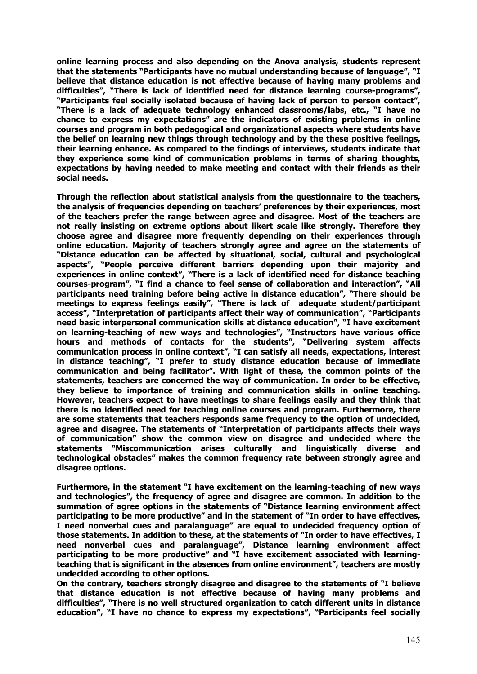**online learning process and also depending on the Anova analysis, students represent that the statements "Participants have no mutual understanding because of language", "I believe that distance education is not effective because of having many problems and difficulties", "There is lack of identified need for distance learning course-programs", "Participants feel socially isolated because of having lack of person to person contact", "There is a lack of adequate technology enhanced classrooms/labs, etc., "I have no chance to express my expectations" are the indicators of existing problems in online courses and program in both pedagogical and organizational aspects where students have the belief on learning new things through technology and by the these positive feelings, their learning enhance. As compared to the findings of interviews, students indicate that they experience some kind of communication problems in terms of sharing thoughts, expectations by having needed to make meeting and contact with their friends as their social needs.** 

**Through the reflection about statistical analysis from the questionnaire to the teachers, the analysis of frequencies depending on teachers' preferences by their experiences, most of the teachers prefer the range between agree and disagree. Most of the teachers are not really insisting on extreme options about likert scale like strongly. Therefore they choose agree and disagree more frequently depending on their experiences through online education. Majority of teachers strongly agree and agree on the statements of "Distance education can be affected by situational, social, cultural and psychological aspects", "People perceive different barriers depending upon their majority and experiences in online context", "There is a lack of identified need for distance teaching courses-program", "I find a chance to feel sense of collaboration and interaction", "All participants need training before being active in distance education", "There should be meetings to express feelings easily", "There is lack of adequate student/participant access", "Interpretation of participants affect their way of communication", "Participants need basic interpersonal communication skills at distance education", "I have excitement on learning-teaching of new ways and technologies", "Instructors have various office hours and methods of contacts for the students", "Delivering system affects communication process in online context", "I can satisfy all needs, expectations, interest in distance teaching", "I prefer to study distance education because of immediate communication and being facilitator". With light of these, the common points of the statements, teachers are concerned the way of communication. In order to be effective, they believe to importance of training and communication skills in online teaching. However, teachers expect to have meetings to share feelings easily and they think that there is no identified need for teaching online courses and program. Furthermore, there are some statements that teachers responds same frequency to the option of undecided, agree and disagree. The statements of "Interpretation of participants affects their ways of communication" show the common view on disagree and undecided where the statements "Miscommunication arises culturally and linguistically diverse and technological obstacles" makes the common frequency rate between strongly agree and disagree options.** 

**Furthermore, in the statement "I have excitement on the learning-teaching of new ways and technologies", the frequency of agree and disagree are common. In addition to the summation of agree options in the statements of "Distance learning environment affect participating to be more productive" and in the statement of "In order to have effectives, I need nonverbal cues and paralanguage" are equal to undecided frequency option of those statements. In addition to these, at the statements of "In order to have effectives, I need nonverbal cues and paralanguage", Distance learning environment affect participating to be more productive" and "I have excitement associated with learningteaching that is significant in the absences from online environment", teachers are mostly undecided according to other options.** 

**On the contrary, teachers strongly disagree and disagree to the statements of "I believe that distance education is not effective because of having many problems and difficulties", "There is no well structured organization to catch different units in distance education", "I have no chance to express my expectations", "Participants feel socially**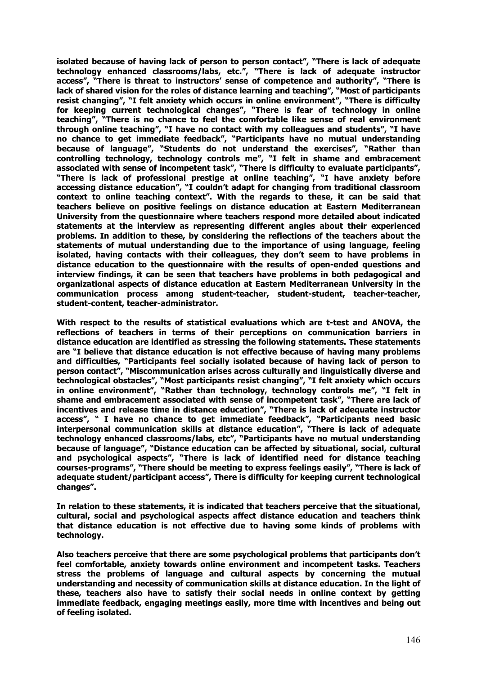**isolated because of having lack of person to person contact", "There is lack of adequate technology enhanced classrooms/labs, etc.", "There is lack of adequate instructor access", "There is threat to instructors' sense of competence and authority", "There is lack of shared vision for the roles of distance learning and teaching", "Most of participants resist changing", "I felt anxiety which occurs in online environment", "There is difficulty for keeping current technological changes", "There is fear of technology in online teaching", "There is no chance to feel the comfortable like sense of real environment through online teaching", "I have no contact with my colleagues and students", "I have no chance to get immediate feedback", "Participants have no mutual understanding because of language", "Students do not understand the exercises", "Rather than controlling technology, technology controls me", "I felt in shame and embracement associated with sense of incompetent task", "There is difficulty to evaluate participants", "There is lack of professional prestige at online teaching", "I have anxiety before accessing distance education", "I couldn't adapt for changing from traditional classroom context to online teaching context". With the regards to these, it can be said that teachers believe on positive feelings on distance education at Eastern Mediterranean University from the questionnaire where teachers respond more detailed about indicated statements at the interview as representing different angles about their experienced problems. In addition to these, by considering the reflections of the teachers about the statements of mutual understanding due to the importance of using language, feeling isolated, having contacts with their colleagues, they don't seem to have problems in distance education to the questionnaire with the results of open-ended questions and interview findings, it can be seen that teachers have problems in both pedagogical and organizational aspects of distance education at Eastern Mediterranean University in the communication process among student-teacher, student-student, teacher-teacher, student-content, teacher-administrator.** 

**With respect to the results of statistical evaluations which are t-test and ANOVA, the reflections of teachers in terms of their perceptions on communication barriers in distance education are identified as stressing the following statements. These statements are "I believe that distance education is not effective because of having many problems and difficulties, "Participants feel socially isolated because of having lack of person to person contact", "Miscommunication arises across culturally and linguistically diverse and technological obstacles", "Most participants resist changing", "I felt anxiety which occurs in online environment", "Rather than technology, technology controls me", "I felt in shame and embracement associated with sense of incompetent task", "There are lack of incentives and release time in distance education", "There is lack of adequate instructor access", " I have no chance to get immediate feedback", "Participants need basic interpersonal communication skills at distance education", "There is lack of adequate technology enhanced classrooms/labs, etc", "Participants have no mutual understanding because of language", "Distance education can be affected by situational, social, cultural and psychological aspects", "There is lack of identified need for distance teaching courses-programs", "There should be meeting to express feelings easily", "There is lack of adequate student/participant access", There is difficulty for keeping current technological changes".** 

**In relation to these statements, it is indicated that teachers perceive that the situational, cultural, social and psychological aspects affect distance education and teachers think that distance education is not effective due to having some kinds of problems with technology.** 

**Also teachers perceive that there are some psychological problems that participants don't feel comfortable, anxiety towards online environment and incompetent tasks. Teachers stress the problems of language and cultural aspects by concerning the mutual understanding and necessity of communication skills at distance education. In the light of these, teachers also have to satisfy their social needs in online context by getting immediate feedback, engaging meetings easily, more time with incentives and being out of feeling isolated.**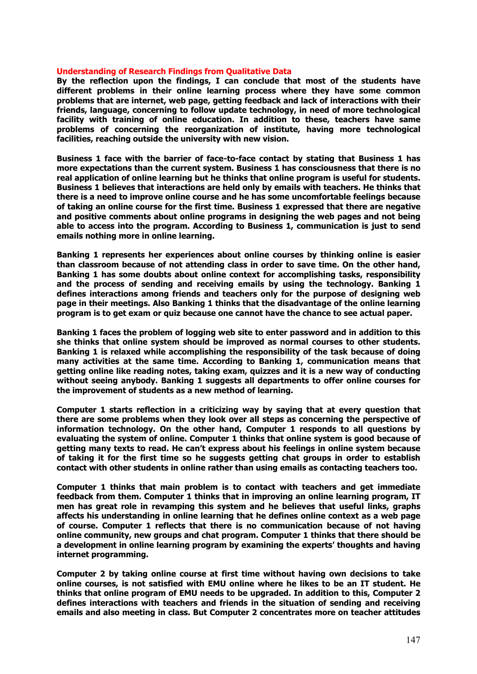#### **Understanding of Research Findings from Qualitative Data**

**By the reflection upon the findings, I can conclude that most of the students have different problems in their online learning process where they have some common problems that are internet, web page, getting feedback and lack of interactions with their friends, language, concerning to follow update technology, in need of more technological facility with training of online education. In addition to these, teachers have same problems of concerning the reorganization of institute, having more technological facilities, reaching outside the university with new vision.** 

**Business 1 face with the barrier of face-to-face contact by stating that Business 1 has more expectations than the current system. Business 1 has consciousness that there is no real application of online learning but he thinks that online program is useful for students. Business 1 believes that interactions are held only by emails with teachers. He thinks that there is a need to improve online course and he has some uncomfortable feelings because of taking an online course for the first time. Business 1 expressed that there are negative and positive comments about online programs in designing the web pages and not being able to access into the program. According to Business 1, communication is just to send emails nothing more in online learning.** 

**Banking 1 represents her experiences about online courses by thinking online is easier than classroom because of not attending class in order to save time. On the other hand, Banking 1 has some doubts about online context for accomplishing tasks, responsibility and the process of sending and receiving emails by using the technology. Banking 1 defines interactions among friends and teachers only for the purpose of designing web page in their meetings. Also Banking 1 thinks that the disadvantage of the online learning program is to get exam or quiz because one cannot have the chance to see actual paper.** 

**Banking 1 faces the problem of logging web site to enter password and in addition to this she thinks that online system should be improved as normal courses to other students. Banking 1 is relaxed while accomplishing the responsibility of the task because of doing many activities at the same time. According to Banking 1, communication means that getting online like reading notes, taking exam, quizzes and it is a new way of conducting without seeing anybody. Banking 1 suggests all departments to offer online courses for the improvement of students as a new method of learning.** 

**Computer 1 starts reflection in a criticizing way by saying that at every question that there are some problems when they look over all steps as concerning the perspective of information technology. On the other hand, Computer 1 responds to all questions by evaluating the system of online. Computer 1 thinks that online system is good because of getting many texts to read. He can't express about his feelings in online system because of taking it for the first time so he suggests getting chat groups in order to establish contact with other students in online rather than using emails as contacting teachers too.** 

**Computer 1 thinks that main problem is to contact with teachers and get immediate feedback from them. Computer 1 thinks that in improving an online learning program, IT men has great role in revamping this system and he believes that useful links, graphs affects his understanding in online learning that he defines online context as a web page of course. Computer 1 reflects that there is no communication because of not having online community, new groups and chat program. Computer 1 thinks that there should be a development in online learning program by examining the experts' thoughts and having internet programming.** 

**Computer 2 by taking online course at first time without having own decisions to take online courses, is not satisfied with EMU online where he likes to be an IT student. He thinks that online program of EMU needs to be upgraded. In addition to this, Computer 2 defines interactions with teachers and friends in the situation of sending and receiving emails and also meeting in class. But Computer 2 concentrates more on teacher attitudes**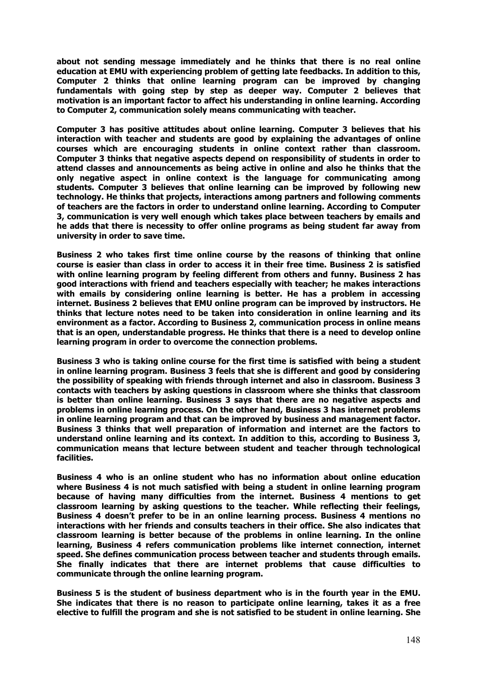**about not sending message immediately and he thinks that there is no real online education at EMU with experiencing problem of getting late feedbacks. In addition to this, Computer 2 thinks that online learning program can be improved by changing fundamentals with going step by step as deeper way. Computer 2 believes that motivation is an important factor to affect his understanding in online learning. According to Computer 2, communication solely means communicating with teacher.** 

**Computer 3 has positive attitudes about online learning. Computer 3 believes that his interaction with teacher and students are good by explaining the advantages of online courses which are encouraging students in online context rather than classroom. Computer 3 thinks that negative aspects depend on responsibility of students in order to attend classes and announcements as being active in online and also he thinks that the only negative aspect in online context is the language for communicating among students. Computer 3 believes that online learning can be improved by following new technology. He thinks that projects, interactions among partners and following comments of teachers are the factors in order to understand online learning. According to Computer 3, communication is very well enough which takes place between teachers by emails and he adds that there is necessity to offer online programs as being student far away from university in order to save time.** 

**Business 2 who takes first time online course by the reasons of thinking that online course is easier than class in order to access it in their free time. Business 2 is satisfied with online learning program by feeling different from others and funny. Business 2 has good interactions with friend and teachers especially with teacher; he makes interactions with emails by considering online learning is better. He has a problem in accessing internet. Business 2 believes that EMU online program can be improved by instructors. He thinks that lecture notes need to be taken into consideration in online learning and its environment as a factor. According to Business 2, communication process in online means that is an open, understandable progress. He thinks that there is a need to develop online learning program in order to overcome the connection problems.** 

**Business 3 who is taking online course for the first time is satisfied with being a student in online learning program. Business 3 feels that she is different and good by considering the possibility of speaking with friends through internet and also in classroom. Business 3 contacts with teachers by asking questions in classroom where she thinks that classroom is better than online learning. Business 3 says that there are no negative aspects and problems in online learning process. On the other hand, Business 3 has internet problems in online learning program and that can be improved by business and management factor. Business 3 thinks that well preparation of information and internet are the factors to understand online learning and its context. In addition to this, according to Business 3, communication means that lecture between student and teacher through technological facilities.** 

**Business 4 who is an online student who has no information about online education where Business 4 is not much satisfied with being a student in online learning program because of having many difficulties from the internet. Business 4 mentions to get classroom learning by asking questions to the teacher. While reflecting their feelings, Business 4 doesn't prefer to be in an online learning process. Business 4 mentions no interactions with her friends and consults teachers in their office. She also indicates that classroom learning is better because of the problems in online learning. In the online learning, Business 4 refers communication problems like internet connection, internet speed. She defines communication process between teacher and students through emails. She finally indicates that there are internet problems that cause difficulties to communicate through the online learning program.** 

**Business 5 is the student of business department who is in the fourth year in the EMU. She indicates that there is no reason to participate online learning, takes it as a free elective to fulfill the program and she is not satisfied to be student in online learning. She**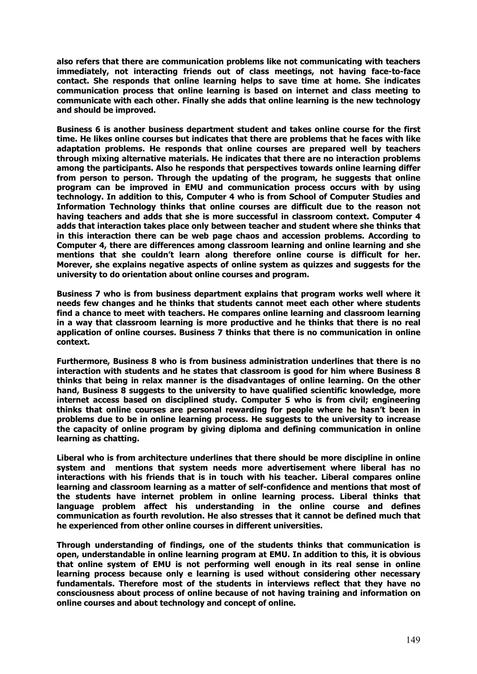**also refers that there are communication problems like not communicating with teachers immediately, not interacting friends out of class meetings, not having face-to-face contact. She responds that online learning helps to save time at home. She indicates communication process that online learning is based on internet and class meeting to communicate with each other. Finally she adds that online learning is the new technology and should be improved.** 

**Business 6 is another business department student and takes online course for the first time. He likes online courses but indicates that there are problems that he faces with like adaptation problems. He responds that online courses are prepared well by teachers through mixing alternative materials. He indicates that there are no interaction problems among the participants. Also he responds that perspectives towards online learning differ from person to person. Through the updating of the program, he suggests that online program can be improved in EMU and communication process occurs with by using technology. In addition to this, Computer 4 who is from School of Computer Studies and Information Technology thinks that online courses are difficult due to the reason not having teachers and adds that she is more successful in classroom context. Computer 4 adds that interaction takes place only between teacher and student where she thinks that in this interaction there can be web page chaos and accession problems. According to Computer 4, there are differences among classroom learning and online learning and she mentions that she couldn't learn along therefore online course is difficult for her. Morever, she explains negative aspects of online system as quizzes and suggests for the university to do orientation about online courses and program.** 

**Business 7 who is from business department explains that program works well where it needs few changes and he thinks that students cannot meet each other where students find a chance to meet with teachers. He compares online learning and classroom learning in a way that classroom learning is more productive and he thinks that there is no real application of online courses. Business 7 thinks that there is no communication in online context.** 

**Furthermore, Business 8 who is from business administration underlines that there is no interaction with students and he states that classroom is good for him where Business 8 thinks that being in relax manner is the disadvantages of online learning. On the other hand, Business 8 suggests to the university to have qualified scientific knowledge, more internet access based on disciplined study. Computer 5 who is from civil; engineering thinks that online courses are personal rewarding for people where he hasn't been in problems due to be in online learning process. He suggests to the university to increase the capacity of online program by giving diploma and defining communication in online learning as chatting.** 

**Liberal who is from architecture underlines that there should be more discipline in online system and mentions that system needs more advertisement where liberal has no interactions with his friends that is in touch with his teacher. Liberal compares online learning and classroom learning as a matter of self-confidence and mentions that most of the students have internet problem in online learning process. Liberal thinks that language problem affect his understanding in the online course and defines communication as fourth revolution. He also stresses that it cannot be defined much that he experienced from other online courses in different universities.** 

**Through understanding of findings, one of the students thinks that communication is open, understandable in online learning program at EMU. In addition to this, it is obvious that online system of EMU is not performing well enough in its real sense in online learning process because only e learning is used without considering other necessary fundamentals. Therefore most of the students in interviews reflect that they have no consciousness about process of online because of not having training and information on online courses and about technology and concept of online.**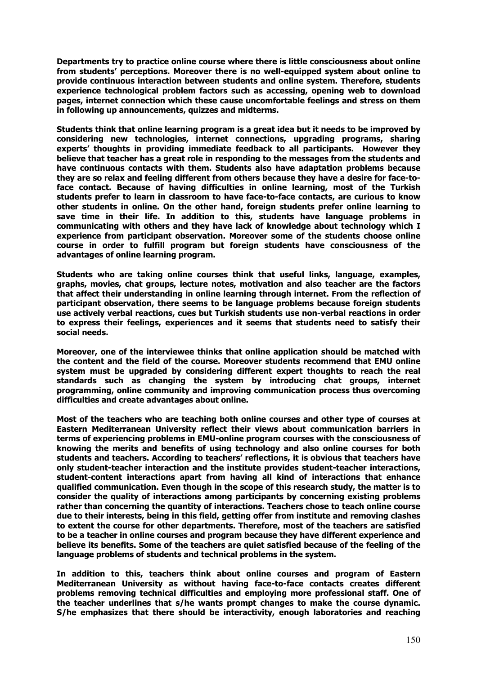**Departments try to practice online course where there is little consciousness about online from students' perceptions. Moreover there is no well-equipped system about online to provide continuous interaction between students and online system. Therefore, students experience technological problem factors such as accessing, opening web to download pages, internet connection which these cause uncomfortable feelings and stress on them in following up announcements, quizzes and midterms.** 

**Students think that online learning program is a great idea but it needs to be improved by considering new technologies, internet connections, upgrading programs, sharing experts' thoughts in providing immediate feedback to all participants. However they believe that teacher has a great role in responding to the messages from the students and have continuous contacts with them. Students also have adaptation problems because they are so relax and feeling different from others because they have a desire for face-toface contact. Because of having difficulties in online learning, most of the Turkish students prefer to learn in classroom to have face-to-face contacts, are curious to know other students in online. On the other hand, foreign students prefer online learning to save time in their life. In addition to this, students have language problems in communicating with others and they have lack of knowledge about technology which I experience from participant observation. Moreover some of the students choose online course in order to fulfill program but foreign students have consciousness of the advantages of online learning program.** 

**Students who are taking online courses think that useful links, language, examples, graphs, movies, chat groups, lecture notes, motivation and also teacher are the factors that affect their understanding in online learning through internet. From the reflection of participant observation, there seems to be language problems because foreign students use actively verbal reactions, cues but Turkish students use non-verbal reactions in order to express their feelings, experiences and it seems that students need to satisfy their social needs.** 

**Moreover, one of the interviewee thinks that online application should be matched with the content and the field of the course. Moreover students recommend that EMU online system must be upgraded by considering different expert thoughts to reach the real standards such as changing the system by introducing chat groups, internet programming, online community and improving communication process thus overcoming difficulties and create advantages about online.** 

**Most of the teachers who are teaching both online courses and other type of courses at Eastern Mediterranean University reflect their views about communication barriers in terms of experiencing problems in EMU-online program courses with the consciousness of knowing the merits and benefits of using technology and also online courses for both students and teachers. According to teachers' reflections, it is obvious that teachers have only student-teacher interaction and the institute provides student-teacher interactions, student-content interactions apart from having all kind of interactions that enhance qualified communication. Even though in the scope of this research study, the matter is to consider the quality of interactions among participants by concerning existing problems rather than concerning the quantity of interactions. Teachers chose to teach online course due to their interests, being in this field, getting offer from institute and removing clashes to extent the course for other departments. Therefore, most of the teachers are satisfied to be a teacher in online courses and program because they have different experience and believe its benefits. Some of the teachers are quiet satisfied because of the feeling of the language problems of students and technical problems in the system.** 

**In addition to this, teachers think about online courses and program of Eastern Mediterranean University as without having face-to-face contacts creates different problems removing technical difficulties and employing more professional staff. One of the teacher underlines that s/he wants prompt changes to make the course dynamic. S/he emphasizes that there should be interactivity, enough laboratories and reaching**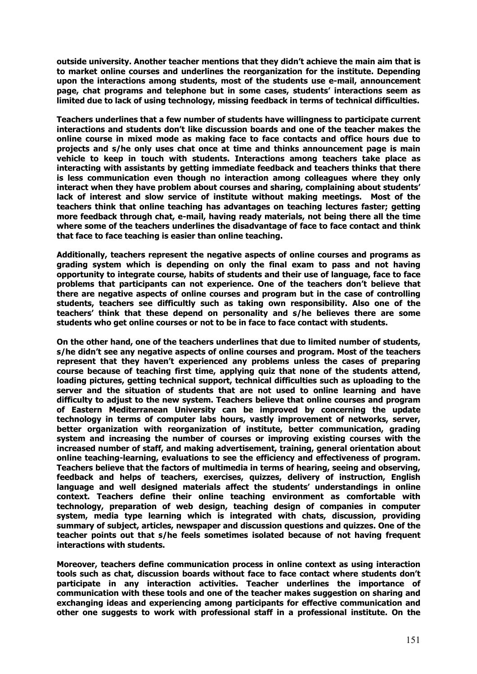**outside university. Another teacher mentions that they didn't achieve the main aim that is to market online courses and underlines the reorganization for the institute. Depending upon the interactions among students, most of the students use e-mail, announcement page, chat programs and telephone but in some cases, students' interactions seem as limited due to lack of using technology, missing feedback in terms of technical difficulties.** 

**Teachers underlines that a few number of students have willingness to participate current interactions and students don't like discussion boards and one of the teacher makes the online course in mixed mode as making face to face contacts and office hours due to projects and s/he only uses chat once at time and thinks announcement page is main vehicle to keep in touch with students. Interactions among teachers take place as interacting with assistants by getting immediate feedback and teachers thinks that there is less communication even though no interaction among colleagues where they only interact when they have problem about courses and sharing, complaining about students' lack of interest and slow service of institute without making meetings. Most of the teachers think that online teaching has advantages on teaching lectures faster; getting more feedback through chat, e-mail, having ready materials, not being there all the time where some of the teachers underlines the disadvantage of face to face contact and think that face to face teaching is easier than online teaching.** 

**Additionally, teachers represent the negative aspects of online courses and programs as grading system which is depending on only the final exam to pass and not having opportunity to integrate course, habits of students and their use of language, face to face problems that participants can not experience. One of the teachers don't believe that there are negative aspects of online courses and program but in the case of controlling students, teachers see difficultly such as taking own responsibility. Also one of the teachers' think that these depend on personality and s/he believes there are some students who get online courses or not to be in face to face contact with students.** 

**On the other hand, one of the teachers underlines that due to limited number of students, s/he didn't see any negative aspects of online courses and program. Most of the teachers represent that they haven't experienced any problems unless the cases of preparing course because of teaching first time, applying quiz that none of the students attend, loading pictures, getting technical support, technical difficulties such as uploading to the server and the situation of students that are not used to online learning and have difficulty to adjust to the new system. Teachers believe that online courses and program of Eastern Mediterranean University can be improved by concerning the update technology in terms of computer labs hours, vastly improvement of networks, server, better organization with reorganization of institute, better communication, grading system and increasing the number of courses or improving existing courses with the increased number of staff, and making advertisement, training, general orientation about online teaching-learning, evaluations to see the efficiency and effectiveness of program. Teachers believe that the factors of multimedia in terms of hearing, seeing and observing, feedback and helps of teachers, exercises, quizzes, delivery of instruction, English language and well designed materials affect the students' understandings in online context. Teachers define their online teaching environment as comfortable with technology, preparation of web design, teaching design of companies in computer system, media type learning which is integrated with chats, discussion, providing summary of subject, articles, newspaper and discussion questions and quizzes. One of the teacher points out that s/he feels sometimes isolated because of not having frequent interactions with students.** 

**Moreover, teachers define communication process in online context as using interaction tools such as chat, discussion boards without face to face contact where students don't participate in any interaction activities. Teacher underlines the importance of communication with these tools and one of the teacher makes suggestion on sharing and exchanging ideas and experiencing among participants for effective communication and other one suggests to work with professional staff in a professional institute. On the**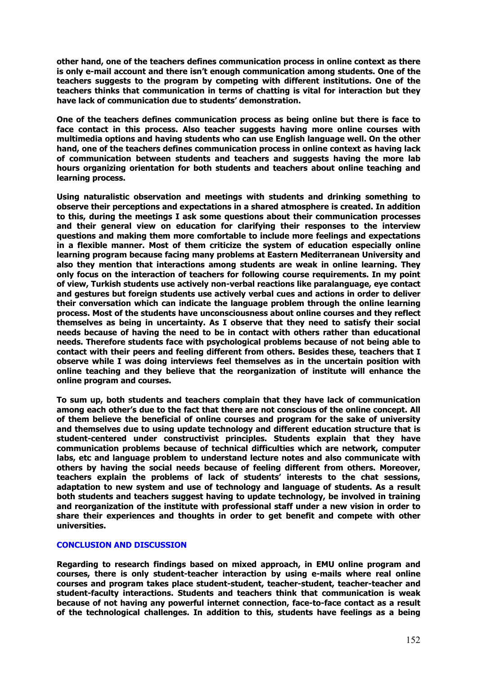**other hand, one of the teachers defines communication process in online context as there is only e-mail account and there isn't enough communication among students. One of the teachers suggests to the program by competing with different institutions. One of the teachers thinks that communication in terms of chatting is vital for interaction but they have lack of communication due to students' demonstration.** 

**One of the teachers defines communication process as being online but there is face to face contact in this process. Also teacher suggests having more online courses with multimedia options and having students who can use English language well. On the other hand, one of the teachers defines communication process in online context as having lack of communication between students and teachers and suggests having the more lab hours organizing orientation for both students and teachers about online teaching and learning process.** 

**Using naturalistic observation and meetings with students and drinking something to observe their perceptions and expectations in a shared atmosphere is created. In addition to this, during the meetings I ask some questions about their communication processes and their general view on education for clarifying their responses to the interview questions and making them more comfortable to include more feelings and expectations in a flexible manner. Most of them criticize the system of education especially online learning program because facing many problems at Eastern Mediterranean University and also they mention that interactions among students are weak in online learning. They only focus on the interaction of teachers for following course requirements. In my point of view, Turkish students use actively non-verbal reactions like paralanguage, eye contact and gestures but foreign students use actively verbal cues and actions in order to deliver their conversation which can indicate the language problem through the online learning process. Most of the students have unconsciousness about online courses and they reflect themselves as being in uncertainty. As I observe that they need to satisfy their social needs because of having the need to be in contact with others rather than educational needs. Therefore students face with psychological problems because of not being able to contact with their peers and feeling different from others. Besides these, teachers that I observe while I was doing interviews feel themselves as in the uncertain position with online teaching and they believe that the reorganization of institute will enhance the online program and courses.** 

**To sum up, both students and teachers complain that they have lack of communication among each other's due to the fact that there are not conscious of the online concept. All of them believe the beneficial of online courses and program for the sake of university and themselves due to using update technology and different education structure that is student-centered under constructivist principles. Students explain that they have communication problems because of technical difficulties which are network, computer labs, etc and language problem to understand lecture notes and also communicate with others by having the social needs because of feeling different from others. Moreover, teachers explain the problems of lack of students' interests to the chat sessions, adaptation to new system and use of technology and language of students. As a result both students and teachers suggest having to update technology, be involved in training and reorganization of the institute with professional staff under a new vision in order to share their experiences and thoughts in order to get benefit and compete with other universities.** 

## **CONCLUSION AND DISCUSSION**

**Regarding to research findings based on mixed approach, in EMU online program and courses, there is only student-teacher interaction by using e-mails where real online courses and program takes place student-student, teacher-student, teacher-teacher and student-faculty interactions. Students and teachers think that communication is weak because of not having any powerful internet connection, face-to-face contact as a result of the technological challenges. In addition to this, students have feelings as a being**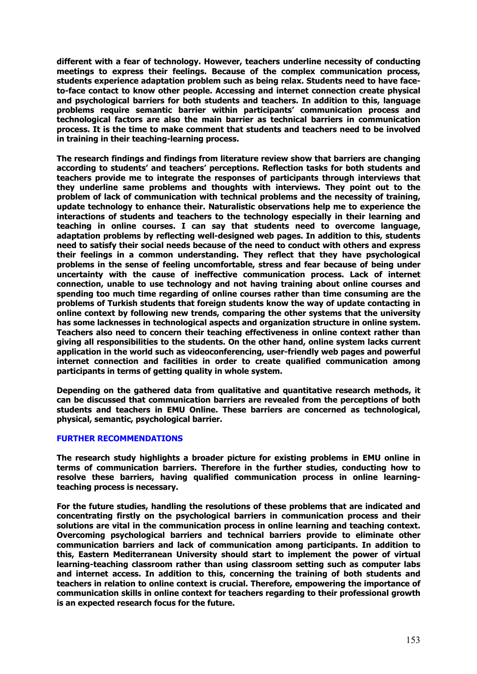**different with a fear of technology. However, teachers underline necessity of conducting meetings to express their feelings. Because of the complex communication process, students experience adaptation problem such as being relax. Students need to have faceto-face contact to know other people. Accessing and internet connection create physical and psychological barriers for both students and teachers. In addition to this, language problems require semantic barrier within participants' communication process and technological factors are also the main barrier as technical barriers in communication process. It is the time to make comment that students and teachers need to be involved in training in their teaching-learning process.** 

**The research findings and findings from literature review show that barriers are changing according to students' and teachers' perceptions. Reflection tasks for both students and teachers provide me to integrate the responses of participants through interviews that they underline same problems and thoughts with interviews. They point out to the problem of lack of communication with technical problems and the necessity of training, update technology to enhance their. Naturalistic observations help me to experience the interactions of students and teachers to the technology especially in their learning and teaching in online courses. I can say that students need to overcome language, adaptation problems by reflecting well-designed web pages. In addition to this, students need to satisfy their social needs because of the need to conduct with others and express their feelings in a common understanding. They reflect that they have psychological problems in the sense of feeling uncomfortable, stress and fear because of being under uncertainty with the cause of ineffective communication process. Lack of internet connection, unable to use technology and not having training about online courses and spending too much time regarding of online courses rather than time consuming are the problems of Turkish students that foreign students know the way of update contacting in online context by following new trends, comparing the other systems that the university has some lacknesses in technological aspects and organization structure in online system. Teachers also need to concern their teaching effectiveness in online context rather than giving all responsibilities to the students. On the other hand, online system lacks current application in the world such as videoconferencing, user-friendly web pages and powerful internet connection and facilities in order to create qualified communication among participants in terms of getting quality in whole system.** 

**Depending on the gathered data from qualitative and quantitative research methods, it can be discussed that communication barriers are revealed from the perceptions of both students and teachers in EMU Online. These barriers are concerned as technological, physical, semantic, psychological barrier.** 

## **FURTHER RECOMMENDATIONS**

**The research study highlights a broader picture for existing problems in EMU online in terms of communication barriers. Therefore in the further studies, conducting how to resolve these barriers, having qualified communication process in online learningteaching process is necessary.** 

**For the future studies, handling the resolutions of these problems that are indicated and concentrating firstly on the psychological barriers in communication process and their solutions are vital in the communication process in online learning and teaching context. Overcoming psychological barriers and technical barriers provide to eliminate other communication barriers and lack of communication among participants. In addition to this, Eastern Mediterranean University should start to implement the power of virtual learning-teaching classroom rather than using classroom setting such as computer labs and internet access. In addition to this, concerning the training of both students and teachers in relation to online context is crucial. Therefore, empowering the importance of communication skills in online context for teachers regarding to their professional growth is an expected research focus for the future.**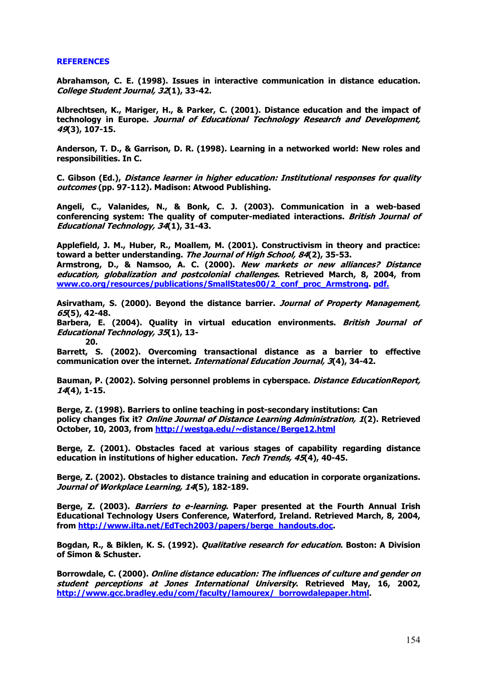#### **REFERENCES**

**Abrahamson, C. E. (1998). Issues in interactive communication in distance education. College Student Journal, 32(1), 33-42.** 

**Albrechtsen, K., Mariger, H., & Parker, C. (2001). Distance education and the impact of technology in Europe. Journal of Educational Technology Research and Development, 49(3), 107-15.** 

**Anderson, T. D., & Garrison, D. R. (1998). Learning in a networked world: New roles and responsibilities. In C.** 

**C. Gibson (Ed.), Distance learner in higher education: Institutional responses for quality outcomes (pp. 97-112). Madison: Atwood Publishing.** 

**Angeli, C., Valanides, N., & Bonk, C. J. (2003). Communication in a web-based conferencing system: The quality of computer-mediated interactions. British Journal of Educational Technology, 34(1), 31-43.** 

**Applefield, J. M., Huber, R., Moallem, M. (2001). Constructivism in theory and practice: toward a better understanding. The Journal of High School, 84(2), 35-53.** 

**Armstrong, D., & Namsoo, A. C. (2000). New markets or new alliances? Distance education, globalization and postcolonial challenges. Retrieved March, 8, 2004, from www.co.org/resources/publications/SmallStates00/2\_conf\_proc\_Armstrong. pdf.**

**Asirvatham, S. (2000). Beyond the distance barrier. Journal of Property Management, 65(5), 42-48.** 

**Barbera, E. (2004). Quality in virtual education environments. British Journal of Educational Technology, 35(1), 13- 20.**

**Barrett, S. (2002). Overcoming transactional distance as a barrier to effective communication over the internet. International Education Journal, 3(4), 34-42.** 

**Bauman, P. (2002). Solving personnel problems in cyberspace. Distance EducationReport, 14(4), 1-15.**

**Berge, Z. (1998). Barriers to online teaching in post-secondary institutions: Can policy changes fix it? Online Journal of Distance Learning Administration, 1(2). Retrieved October, 10, 2003, from http://westga.edu/~distance/Berge12.html**

**Berge, Z. (2001). Obstacles faced at various stages of capability regarding distance education in institutions of higher education. Tech Trends, 45(4), 40-45.** 

**Berge, Z. (2002). Obstacles to distance training and education in corporate organizations. Journal of Workplace Learning, 14(5), 182-189.** 

**Berge, Z. (2003). Barriers to e-learning. Paper presented at the Fourth Annual Irish Educational Technology Users Conference, Waterford, Ireland. Retrieved March, 8, 2004, from http://www.ilta.net/EdTech2003/papers/berge\_handouts.doc.** 

**Bogdan, R., & Biklen, K. S. (1992). Qualitative research for education. Boston: A Division of Simon & Schuster.** 

**Borrowdale, C. (2000). Online distance education: The influences of culture and gender on student perceptions at Jones International University. Retrieved May, 16, 2002, http://www.gcc.bradley.edu/com/faculty/lamourex/ borrowdalepaper.html.**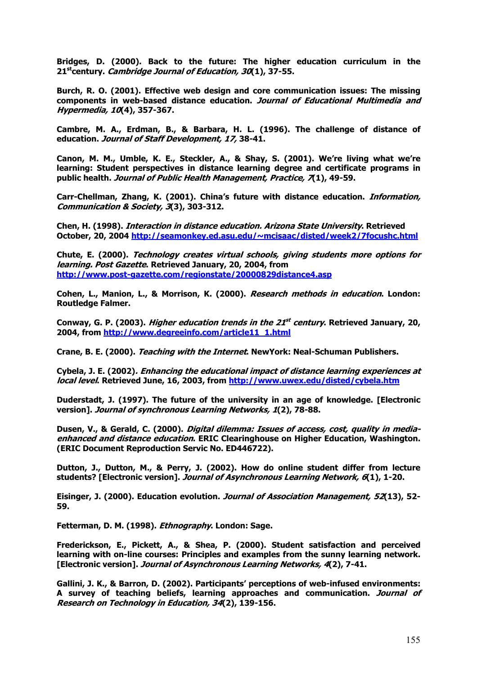**Bridges, D. (2000). Back to the future: The higher education curriculum in the 21stcentury. Cambridge Journal of Education, 30(1), 37-55.** 

**Burch, R. O. (2001). Effective web design and core communication issues: The missing components in web-based distance education. Journal of Educational Multimedia and Hypermedia, 10(4), 357-367.** 

**Cambre, M. A., Erdman, B., & Barbara, H. L. (1996). The challenge of distance of education. Journal of Staff Development, 17, 38-41.** 

**Canon, M. M., Umble, K. E., Steckler, A., & Shay, S. (2001). We're living what we're learning: Student perspectives in distance learning degree and certificate programs in public health. Journal of Public Health Management, Practice, 7(1), 49-59.** 

**Carr-Chellman, Zhang, K. (2001). China's future with distance education. Information, Communication & Society, 3(3), 303-312.** 

**Chen, H. (1998). Interaction in distance education. Arizona State University. Retrieved October, 20, 2004 http://seamonkey.ed.asu.edu/~mcisaac/disted/week2/7focushc.html** 

**Chute, E. (2000). Technology creates virtual schools, giving students more options for learning. Post Gazette. Retrieved January, 20, 2004, from http://www.post-gazette.com/regionstate/20000829distance4.asp**

**Cohen, L., Manion, L., & Morrison, K. (2000). Research methods in education. London: Routledge Falmer.** 

**Conway, G. P. (2003). Higher education trends in the 21st century. Retrieved January, 20, 2004, from http://www.degreeinfo.com/article11\_1.html**

**Crane, B. E. (2000). Teaching with the Internet. NewYork: Neal-Schuman Publishers.** 

**Cybela, J. E. (2002). Enhancing the educational impact of distance learning experiences at local level. Retrieved June, 16, 2003, from http://www.uwex.edu/disted/cybela.htm**

**Duderstadt, J. (1997). The future of the university in an age of knowledge. [Electronic version]. Journal of synchronous Learning Networks, 1(2), 78-88.** 

**Dusen, V., & Gerald, C. (2000). Digital dilemma: Issues of access, cost, quality in mediaenhanced and distance education. ERIC Clearinghouse on Higher Education, Washington. (ERIC Document Reproduction Servic No. ED446722).** 

**Dutton, J., Dutton, M., & Perry, J. (2002). How do online student differ from lecture students? [Electronic version]. Journal of Asynchronous Learning Network, 6(1), 1-20.** 

**Eisinger, J. (2000). Education evolution. Journal of Association Management, 52(13), 52- 59.** 

**Fetterman, D. M. (1998). Ethnography. London: Sage.** 

**Frederickson, E., Pickett, A., & Shea, P. (2000). Student satisfaction and perceived learning with on-line courses: Principles and examples from the sunny learning network. [Electronic version]. Journal of Asynchronous Learning Networks, 4(2), 7-41.** 

**Gallini, J. K., & Barron, D. (2002). Participants' perceptions of web-infused environments: A survey of teaching beliefs, learning approaches and communication. Journal of Research on Technology in Education, 34(2), 139-156.**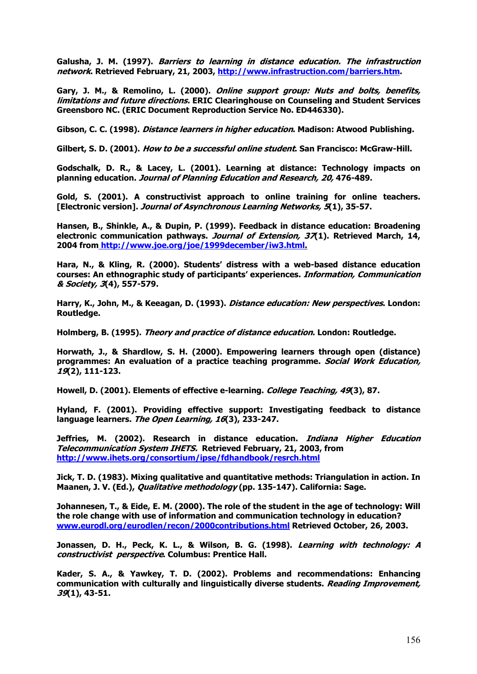**Galusha, J. M. (1997). Barriers to learning in distance education. The infrastruction network. Retrieved February, 21, 2003, http://www.infrastruction.com/barriers.htm.** 

**Gary, J. M., & Remolino, L. (2000). Online support group: Nuts and bolts, benefits, limitations and future directions. ERIC Clearinghouse on Counseling and Student Services Greensboro NC. (ERIC Document Reproduction Service No. ED446330).** 

**Gibson, C. C. (1998). Distance learners in higher education. Madison: Atwood Publishing.** 

**Gilbert, S. D. (2001). How to be a successful online student. San Francisco: McGraw-Hill.** 

**Godschalk, D. R., & Lacey, L. (2001). Learning at distance: Technology impacts on planning education. Journal of Planning Education and Research, 20, 476-489.** 

**Gold, S. (2001). A constructivist approach to online training for online teachers. [Electronic version]. Journal of Asynchronous Learning Networks, 5(1), 35-57.** 

**Hansen, B., Shinkle, A., & Dupin, P. (1999). Feedback in distance education: Broadening electronic communication pathways. Journal of Extension, 37(1). Retrieved March, 14, 2004 from http://www.joe.org/joe/1999december/iw3.html.**

**Hara, N., & Kling, R. (2000). Students' distress with a web-based distance education courses: An ethnographic study of participants' experiences. Information, Communication & Society, 3(4), 557-579.**

**Harry, K., John, M., & Keeagan, D. (1993). Distance education: New perspectives. London: Routledge.** 

**Holmberg, B. (1995). Theory and practice of distance education. London: Routledge.** 

**Horwath, J., & Shardlow, S. H. (2000). Empowering learners through open (distance) programmes: An evaluation of a practice teaching programme. Social Work Education, 19(2), 111-123.** 

**Howell, D. (2001). Elements of effective e-learning. College Teaching, 49(3), 87.** 

**Hyland, F. (2001). Providing effective support: Investigating feedback to distance language learners. The Open Learning, 16(3), 233-247.** 

**Jeffries, M. (2002). Research in distance education. Indiana Higher Education Telecommunication System IHETS. Retrieved February, 21, 2003, from http://www.ihets.org/consortium/ipse/fdhandbook/resrch.html**

**Jick, T. D. (1983). Mixing qualitative and quantitative methods: Triangulation in action. In Maanen, J. V. (Ed.), Qualitative methodology (pp. 135-147). California: Sage.** 

**Johannesen, T., & Eide, E. M. (2000). The role of the student in the age of technology: Will the role change with use of information and communication technology in education? www.eurodl.org/eurodlen/recon/2000contributions.html Retrieved October, 26, 2003.** 

**Jonassen, D. H., Peck, K. L., & Wilson, B. G. (1998). Learning with technology: A constructivist perspective. Columbus: Prentice Hall.**

**Kader, S. A., & Yawkey, T. D. (2002). Problems and recommendations: Enhancing communication with culturally and linguistically diverse students. Reading Improvement, 39(1), 43-51.**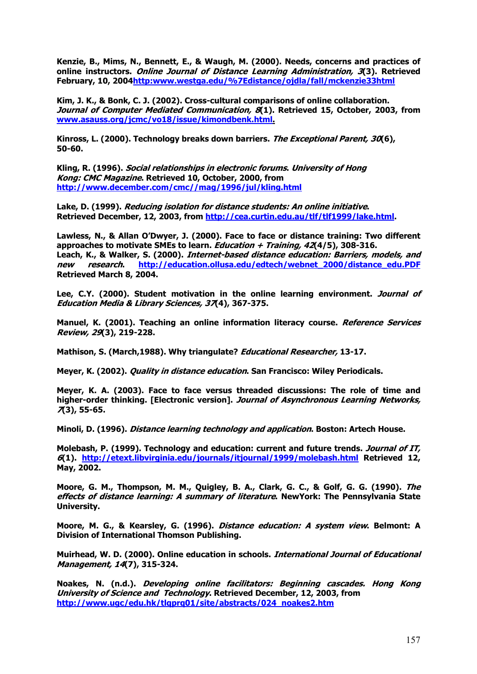**Kenzie, B., Mims, N., Bennett, E., & Waugh, M. (2000). Needs, concerns and practices of online instructors. Online Journal of Distance Learning Administration, 3(3). Retrieved February, 10, 2004http:www.westga.edu/%7Edistance/ojdla/fall/mckenzie33html**

**Kim, J. K., & Bonk, C. J. (2002). Cross-cultural comparisons of online collaboration. Journal of Computer Mediated Communication, 8(1). Retrieved 15, October, 2003, from www.asauss.org/jcmc/vo18/issue/kimondbenk.html.**

**Kinross, L. (2000). Technology breaks down barriers. The Exceptional Parent, 30(6), 50-60.** 

**Kling, R. (1996). Social relationships in electronic forums. University of Hong Kong: CMC Magazine. Retrieved 10, October, 2000, from http://www.december.com/cmc//mag/1996/jul/kling.html**

**Lake, D. (1999). Reducing isolation for distance students: An online initiative. Retrieved December, 12, 2003, from http://cea.curtin.edu.au/tlf/tlf1999/lake.html.** 

**Lawless, N., & Allan O'Dwyer, J. (2000). Face to face or distance training: Two different approaches to motivate SMEs to learn. Education + Training, 42(4/5), 308-316. Leach, K., & Walker, S. (2000). Internet-based distance education: Barriers, models, and new research. http://education.ollusa.edu/edtech/webnet\_2000/distance\_edu.PDF Retrieved March 8, 2004.** 

**Lee, C.Y. (2000). Student motivation in the online learning environment. Journal of Education Media & Library Sciences, 37(4), 367-375.** 

**Manuel, K. (2001). Teaching an online information literacy course. Reference Services Review, 29(3), 219-228.** 

**Mathison, S. (March,1988). Why triangulate? Educational Researcher, 13-17.** 

**Meyer, K. (2002). Quality in distance education. San Francisco: Wiley Periodicals.** 

**Meyer, K. A. (2003). Face to face versus threaded discussions: The role of time and higher-order thinking. [Electronic version]. Journal of Asynchronous Learning Networks, 7(3), 55-65.** 

**Minoli, D. (1996). Distance learning technology and application. Boston: Artech House.** 

**Molebash, P. (1999). Technology and education: current and future trends. Journal of IT, 6(1). http://etext.libvirginia.edu/journals/itjournal/1999/molebash.html Retrieved 12, May, 2002.** 

**Moore, G. M., Thompson, M. M., Quigley, B. A., Clark, G. C., & Golf, G. G. (1990). The effects of distance learning: A summary of literature. NewYork: The Pennsylvania State University.** 

**Moore, M. G., & Kearsley, G. (1996). Distance education: A system view. Belmont: A Division of International Thomson Publishing.** 

**Muirhead, W. D. (2000). Online education in schools. International Journal of Educational Management, 14(7), 315-324.** 

**Noakes, N. (n.d.). Developing online facilitators: Beginning cascades. Hong Kong University of Science and Technology. Retrieved December, 12, 2003, from http://www.ugc/edu.hk/tlqprq01/site/abstracts/024\_noakes2.htm**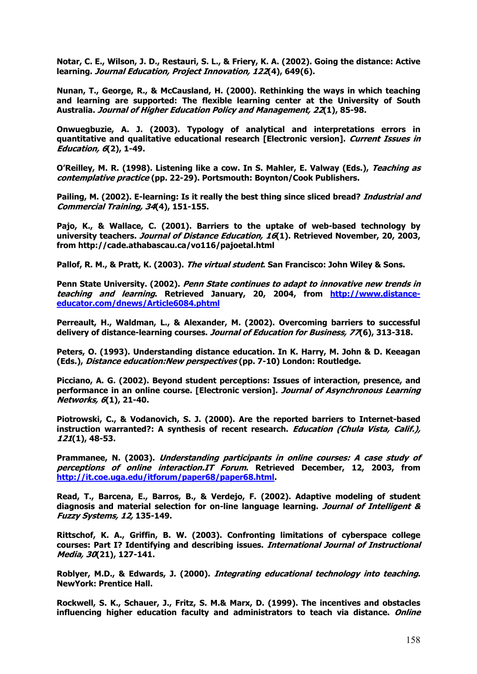**Notar, C. E., Wilson, J. D., Restauri, S. L., & Friery, K. A. (2002). Going the distance: Active learning. Journal Education, Project Innovation, 122(4), 649(6).** 

**Nunan, T., George, R., & McCausland, H. (2000). Rethinking the ways in which teaching and learning are supported: The flexible learning center at the University of South Australia. Journal of Higher Education Policy and Management, 22(1), 85-98.** 

**Onwuegbuzie, A. J. (2003). Typology of analytical and interpretations errors in quantitative and qualitative educational research [Electronic version]. Current Issues in Education, 6(2), 1-49.**

**O'Reilley, M. R. (1998). Listening like a cow. In S. Mahler, E. Valway (Eds.), Teaching as contemplative practice (pp. 22-29). Portsmouth: Boynton/Cook Publishers.** 

**Pailing, M. (2002). E-learning: Is it really the best thing since sliced bread? Industrial and Commercial Training, 34(4), 151-155.** 

**Pajo, K., & Wallace, C. (2001). Barriers to the uptake of web-based technology by university teachers. Journal of Distance Education, 16(1). Retrieved November, 20, 2003, from http://cade.athabascau.ca/vo116/pajoetal.html** 

**Pallof, R. M., & Pratt, K. (2003). The virtual student. San Francisco: John Wiley & Sons.** 

**Penn State University. (2002). Penn State continues to adapt to innovative new trends in teaching and learning. Retrieved January, 20, 2004, from http://www.distanceeducator.com/dnews/Article6084.phtml**

**Perreault, H., Waldman, L., & Alexander, M. (2002). Overcoming barriers to successful delivery of distance-learning courses. Journal of Education for Business, 77(6), 313-318.** 

**Peters, O. (1993). Understanding distance education. In K. Harry, M. John & D. Keeagan (Eds.), Distance education:New perspectives (pp. 7-10) London: Routledge.** 

**Picciano, A. G. (2002). Beyond student perceptions: Issues of interaction, presence, and performance in an online course. [Electronic version]. Journal of Asynchronous Learning Networks, 6(1), 21-40.** 

**Piotrowski, C., & Vodanovich, S. J. (2000). Are the reported barriers to Internet-based instruction warranted?: A synthesis of recent research. Education (Chula Vista, Calif.), 121(1), 48-53.** 

**Prammanee, N. (2003). Understanding participants in online courses: A case study of perceptions of online interaction.IT Forum. Retrieved December, 12, 2003, from http://it.coe.uga.edu/itforum/paper68/paper68.html.** 

**Read, T., Barcena, E., Barros, B., & Verdejo, F. (2002). Adaptive modeling of student diagnosis and material selection for on-line language learning. Journal of Intelligent & Fuzzy Systems, 12, 135-149.** 

**Rittschof, K. A., Griffin, B. W. (2003). Confronting limitations of cyberspace college courses: Part I? Identifying and describing issues. International Journal of Instructional Media, 30(21), 127-141.** 

**Roblyer, M.D., & Edwards, J. (2000). Integrating educational technology into teaching. NewYork: Prentice Hall.** 

**Rockwell, S. K., Schauer, J., Fritz, S. M.& Marx, D. (1999). The incentives and obstacles influencing higher education faculty and administrators to teach via distance. Online**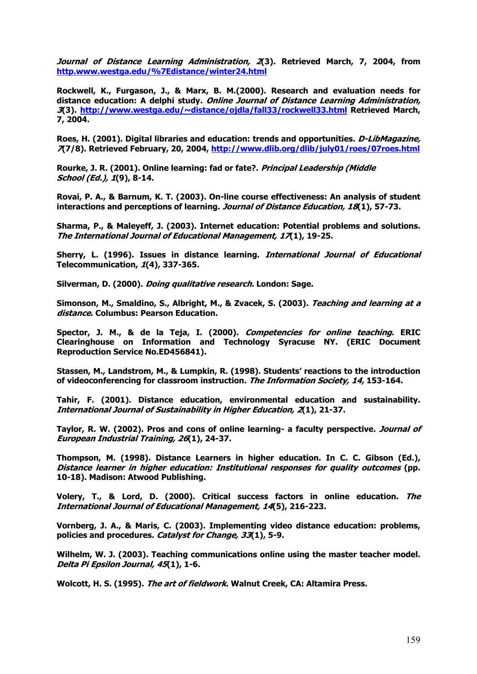**Journal of Distance Learning Administration, 2(3). Retrieved March, 7, 2004, from http.www.westga.edu/%7Edistance/winter24.html**

**Rockwell, K., Furgason, J., & Marx, B. M.(2000). Research and evaluation needs for distance education: A delphi study. Online Journal of Distance Learning Administration, 3(3). http://www.westga.edu/~distance/ojdla/fall33/rockwell33.html Retrieved March, 7, 2004.** 

**Roes, H. (2001). Digital libraries and education: trends and opportunities. D-LibMagazine, 7(7/8). Retrieved February, 20, 2004, http://www.dlib.org/dlib/july01/roes/07roes.html**

**Rourke, J. R. (2001). Online learning: fad or fate?. Principal Leadership (Middle School (Ed.), 1(9), 8-14.** 

**Rovai, P. A., & Barnum, K. T. (2003). On-line course effectiveness: An analysis of student interactions and perceptions of learning. Journal of Distance Education, 18(1), 57-73.** 

**Sharma, P., & Maleyeff, J. (2003). Internet education: Potential problems and solutions. The International Journal of Educational Management, 17(1), 19-25.** 

**Sherry, L. (1996). Issues in distance learning. International Journal of Educational Telecommunication, 1(4), 337-365.** 

**Silverman, D. (2000). Doing qualitative research. London: Sage.** 

**Simonson, M., Smaldino, S., Albright, M., & Zvacek, S. (2003). Teaching and learning at a distance. Columbus: Pearson Education.** 

**Spector, J. M., & de la Teja, I. (2000). Competencies for online teaching. ERIC Clearinghouse on Information and Technology Syracuse NY. (ERIC Document Reproduction Service No.ED456841).** 

**Stassen, M., Landstrom, M., & Lumpkin, R. (1998). Students' reactions to the introduction of videoconferencing for classroom instruction. The Information Society, 14, 153-164.** 

**Tahir, F. (2001). Distance education, environmental education and sustainability. International Journal of Sustainability in Higher Education, 2(1), 21-37.** 

**Taylor, R. W. (2002). Pros and cons of online learning- a faculty perspective. Journal of European Industrial Training, 26(1), 24-37.** 

**Thompson, M. (1998). Distance Learners in higher education. In C. C. Gibson (Ed.), Distance learner in higher education: Institutional responses for quality outcomes (pp. 10-18). Madison: Atwood Publishing.**

**Volery, T., & Lord, D. (2000). Critical success factors in online education. The International Journal of Educational Management, 14(5), 216-223.** 

**Vornberg, J. A., & Maris, C. (2003). Implementing video distance education: problems, policies and procedures. Catalyst for Change, 33(1), 5-9.** 

**Wilhelm, W. J. (2003). Teaching communications online using the master teacher model. Delta Pi Epsilon Journal, 45(1), 1-6.** 

**Wolcott, H. S. (1995). The art of fieldwork. Walnut Creek, CA: Altamira Press.**